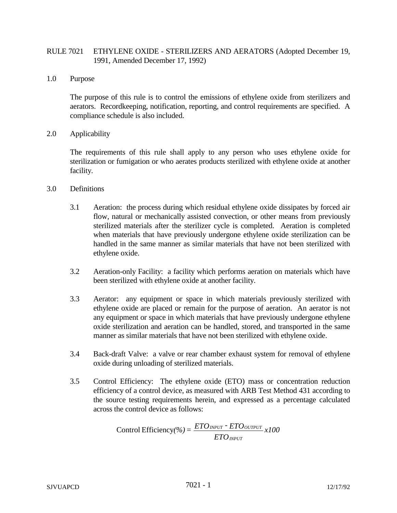# RULE 7021 ETHYLENE OXIDE - STERILIZERS AND AERATORS (Adopted December 19, 1991, Amended December 17, 1992)

1.0 Purpose

The purpose of this rule is to control the emissions of ethylene oxide from sterilizers and aerators. Recordkeeping, notification, reporting, and control requirements are specified. A compliance schedule is also included.

2.0 Applicability

The requirements of this rule shall apply to any person who uses ethylene oxide for sterilization or fumigation or who aerates products sterilized with ethylene oxide at another facility.

- 3.0 Definitions
	- 3.1 Aeration: the process during which residual ethylene oxide dissipates by forced air flow, natural or mechanically assisted convection, or other means from previously sterilized materials after the sterilizer cycle is completed. Aeration is completed when materials that have previously undergone ethylene oxide sterilization can be handled in the same manner as similar materials that have not been sterilized with ethylene oxide.
	- 3.2 Aeration-only Facility: a facility which performs aeration on materials which have been sterilized with ethylene oxide at another facility.
	- 3.3 Aerator: any equipment or space in which materials previously sterilized with ethylene oxide are placed or remain for the purpose of aeration. An aerator is not any equipment or space in which materials that have previously undergone ethylene oxide sterilization and aeration can be handled, stored, and transported in the same manner as similar materials that have not been sterilized with ethylene oxide.
	- 3.4 Back-draft Valve: a valve or rear chamber exhaust system for removal of ethylene oxide during unloading of sterilized materials.
	- 3.5 Control Efficiency: The ethylene oxide (ETO) mass or concentration reduction efficiency of a control device, as measured with ARB Test Method 431 according to the source testing requirements herein, and expressed as a percentage calculated across the control device as follows:

*x100 ETO*  $( \% ) = \frac{ETO_{\emph{INPUT}} \cdot ETO}{ETO_{\emph{INPUT}} \cdot ETO}$ *INPUT*  $\text{Control Efficiency}(\%) = \frac{EIO_{INPUT} - EIO_{OUTPUT}}{EIO_{OUTPUT}}$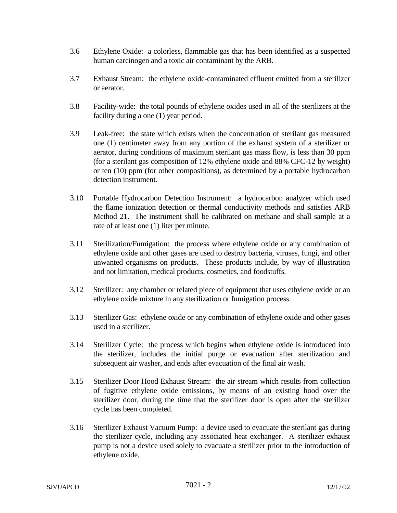- 3.6 Ethylene Oxide: a colorless, flammable gas that has been identified as a suspected human carcinogen and a toxic air contaminant by the ARB.
- 3.7 Exhaust Stream: the ethylene oxide-contaminated effluent emitted from a sterilizer or aerator.
- 3.8 Facility-wide: the total pounds of ethylene oxides used in all of the sterilizers at the facility during a one (1) year period.
- 3.9 Leak-free: the state which exists when the concentration of sterilant gas measured one (1) centimeter away from any portion of the exhaust system of a sterilizer or aerator, during conditions of maximum sterilant gas mass flow, is less than 30 ppm (for a sterilant gas composition of 12% ethylene oxide and 88% CFC-12 by weight) or ten (10) ppm (for other compositions), as determined by a portable hydrocarbon detection instrument.
- 3.10 Portable Hydrocarbon Detection Instrument: a hydrocarbon analyzer which used the flame ionization detection or thermal conductivity methods and satisfies ARB Method 21. The instrument shall be calibrated on methane and shall sample at a rate of at least one (1) liter per minute.
- 3.11 Sterilization/Fumigation: the process where ethylene oxide or any combination of ethylene oxide and other gases are used to destroy bacteria, viruses, fungi, and other unwanted organisms on products. These products include, by way of illustration and not limitation, medical products, cosmetics, and foodstuffs.
- 3.12 Sterilizer: any chamber or related piece of equipment that uses ethylene oxide or an ethylene oxide mixture in any sterilization or fumigation process.
- 3.13 Sterilizer Gas: ethylene oxide or any combination of ethylene oxide and other gases used in a sterilizer.
- 3.14 Sterilizer Cycle: the process which begins when ethylene oxide is introduced into the sterilizer, includes the initial purge or evacuation after sterilization and subsequent air washer, and ends after evacuation of the final air wash.
- 3.15 Sterilizer Door Hood Exhaust Stream: the air stream which results from collection of fugitive ethylene oxide emissions, by means of an existing hood over the sterilizer door, during the time that the sterilizer door is open after the sterilizer cycle has been completed.
- 3.16 Sterilizer Exhaust Vacuum Pump: a device used to evacuate the sterilant gas during the sterilizer cycle, including any associated heat exchanger. A sterilizer exhaust pump is not a device used solely to evacuate a sterilizer prior to the introduction of ethylene oxide.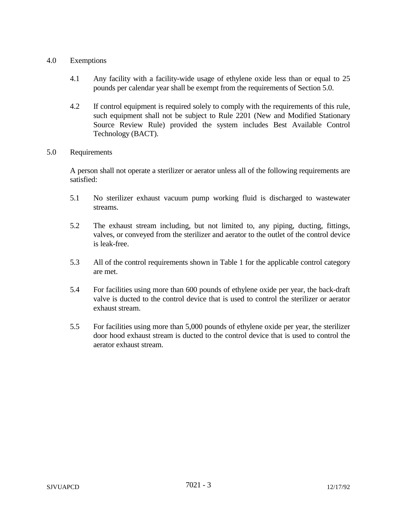## 4.0 Exemptions

- 4.1 Any facility with a facility-wide usage of ethylene oxide less than or equal to 25 pounds per calendar year shall be exempt from the requirements of Section 5.0.
- 4.2 If control equipment is required solely to comply with the requirements of this rule, such equipment shall not be subject to Rule 2201 (New and Modified Stationary Source Review Rule) provided the system includes Best Available Control Technology (BACT).

### 5.0 Requirements

A person shall not operate a sterilizer or aerator unless all of the following requirements are satisfied:

- 5.1 No sterilizer exhaust vacuum pump working fluid is discharged to wastewater streams.
- 5.2 The exhaust stream including, but not limited to, any piping, ducting, fittings, valves, or conveyed from the sterilizer and aerator to the outlet of the control device is leak-free.
- 5.3 All of the control requirements shown in Table 1 for the applicable control category are met.
- 5.4 For facilities using more than 600 pounds of ethylene oxide per year, the back-draft valve is ducted to the control device that is used to control the sterilizer or aerator exhaust stream.
- 5.5 For facilities using more than 5,000 pounds of ethylene oxide per year, the sterilizer door hood exhaust stream is ducted to the control device that is used to control the aerator exhaust stream.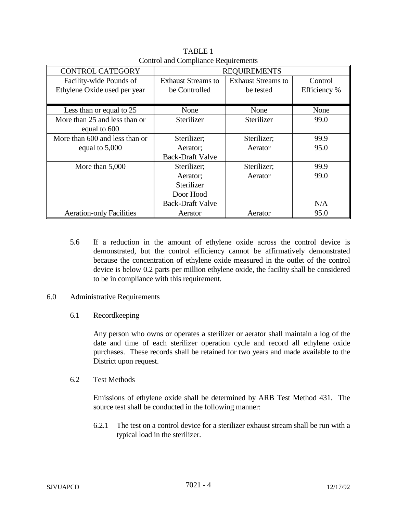| <b>CONTROL CATEGORY</b>         | <b>REQUIREMENTS</b>       |                           |              |
|---------------------------------|---------------------------|---------------------------|--------------|
| Facility-wide Pounds of         | <b>Exhaust Streams to</b> | <b>Exhaust Streams to</b> | Control      |
| Ethylene Oxide used per year    | be Controlled             | be tested                 | Efficiency % |
|                                 |                           |                           |              |
| Less than or equal to 25        | None                      | None                      | None         |
| More than 25 and less than or   | Sterilizer                | Sterilizer                | 99.0         |
| equal to 600                    |                           |                           |              |
| More than 600 and less than or  | Sterilizer;               | Sterilizer;               | 99.9         |
| equal to 5,000                  | Aerator;                  | Aerator                   | 95.0         |
|                                 | <b>Back-Draft Valve</b>   |                           |              |
| More than 5,000                 | Sterilizer;               | Sterilizer;               | 99.9         |
|                                 | Aerator;                  | Aerator                   | 99.0         |
|                                 | Sterilizer                |                           |              |
|                                 | Door Hood                 |                           |              |
|                                 | <b>Back-Draft Valve</b>   |                           | N/A          |
| <b>Aeration-only Facilities</b> | Aerator                   | Aerator                   | 95.0         |

TABLE 1 Control and Compliance Requirements

- 5.6 If a reduction in the amount of ethylene oxide across the control device is demonstrated, but the control efficiency cannot be affirmatively demonstrated because the concentration of ethylene oxide measured in the outlet of the control device is below 0.2 parts per million ethylene oxide, the facility shall be considered to be in compliance with this requirement.
- 6.0 Administrative Requirements
	- 6.1 Recordkeeping

Any person who owns or operates a sterilizer or aerator shall maintain a log of the date and time of each sterilizer operation cycle and record all ethylene oxide purchases. These records shall be retained for two years and made available to the District upon request.

6.2 Test Methods

Emissions of ethylene oxide shall be determined by ARB Test Method 431. The source test shall be conducted in the following manner:

6.2.1 The test on a control device for a sterilizer exhaust stream shall be run with a typical load in the sterilizer.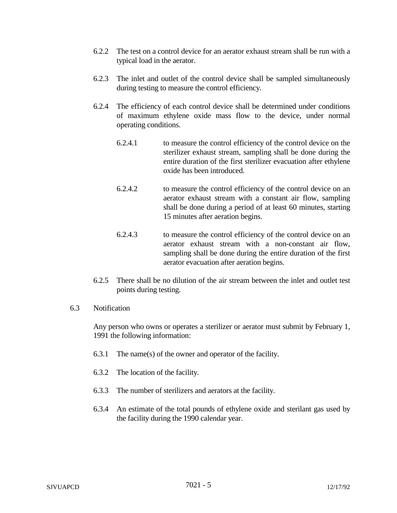- 6.2.2 The test on a control device for an aerator exhaust stream shall be run with a typical load in the aerator.
- 6.2.3 The inlet and outlet of the control device shall be sampled simultaneously during testing to measure the control efficiency.
- 6.2.4 The efficiency of each control device shall be determined under conditions of maximum ethylene oxide mass flow to the device, under normal operating conditions.
	- 6.2.4.1 to measure the control efficiency of the control device on the sterilizer exhaust stream, sampling shall be done during the entire duration of the first sterilizer evacuation after ethylene oxide has been introduced.
	- 6.2.4.2 to measure the control efficiency of the control device on an aerator exhaust stream with a constant air flow, sampling shall be done during a period of at least 60 minutes, starting 15 minutes after aeration begins.
	- 6.2.4.3 to measure the control efficiency of the control device on an aerator exhaust stream with a non-constant air flow, sampling shall be done during the entire duration of the first aerator evacuation after aeration begins.
- 6.2.5 There shall be no dilution of the air stream between the inlet and outlet test points during testing.
- 6.3 Notification

Any person who owns or operates a sterilizer or aerator must submit by February 1, 1991 the following information:

- 6.3.1 The name(s) of the owner and operator of the facility.
- 6.3.2 The location of the facility.
- 6.3.3 The number of sterilizers and aerators at the facility.
- 6.3.4 An estimate of the total pounds of ethylene oxide and sterilant gas used by the facility during the 1990 calendar year.